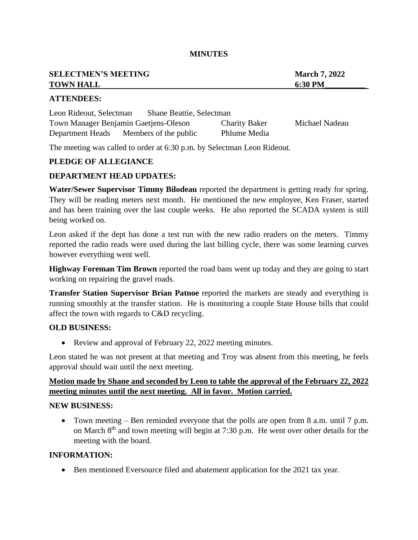#### **MINUTES**

| <b>SELECTMEN'S MEETING</b> | <b>March 7, 2022</b> |
|----------------------------|----------------------|
| <b>TOWN HALL</b>           | 6:30 PM              |
|                            |                      |

### **ATTENDEES:**

| Leon Rideout, Selectman               | <b>Shane Beattie, Selectman</b> |                      |                |
|---------------------------------------|---------------------------------|----------------------|----------------|
| Town Manager Benjamin Gaetjens-Oleson |                                 | <b>Charity Baker</b> | Michael Nadeau |
| Department Heads                      | Members of the public           | Phlume Media         |                |

The meeting was called to order at 6:30 p.m. by Selectman Leon Rideout.

## **PLEDGE OF ALLEGIANCE**

### **DEPARTMENT HEAD UPDATES:**

**Water/Sewer Supervisor Timmy Bilodeau** reported the department is getting ready for spring. They will be reading meters next month. He mentioned the new employee, Ken Fraser, started and has been training over the last couple weeks. He also reported the SCADA system is still being worked on.

Leon asked if the dept has done a test run with the new radio readers on the meters. Timmy reported the radio reads were used during the last billing cycle, there was some learning curves however everything went well.

**Highway Foreman Tim Brown** reported the road bans went up today and they are going to start working on repairing the gravel roads.

**Transfer Station Supervisor Brian Patnoe** reported the markets are steady and everything is running smoothly at the transfer station. He is monitoring a couple State House bills that could affect the town with regards to C&D recycling.

#### **OLD BUSINESS:**

• Review and approval of February 22, 2022 meeting minutes.

Leon stated he was not present at that meeting and Troy was absent from this meeting, he feels approval should wait until the next meeting.

# **Motion made by Shane and seconded by Leon to table the approval of the February 22, 2022 meeting minutes until the next meeting. All in favor. Motion carried.**

## **NEW BUSINESS:**

• Town meeting – Ben reminded everyone that the polls are open from 8 a.m. until 7 p.m. on March 8<sup>th</sup> and town meeting will begin at 7:30 p.m. He went over other details for the meeting with the board.

# **INFORMATION:**

• Ben mentioned Eversource filed and abatement application for the 2021 tax year.